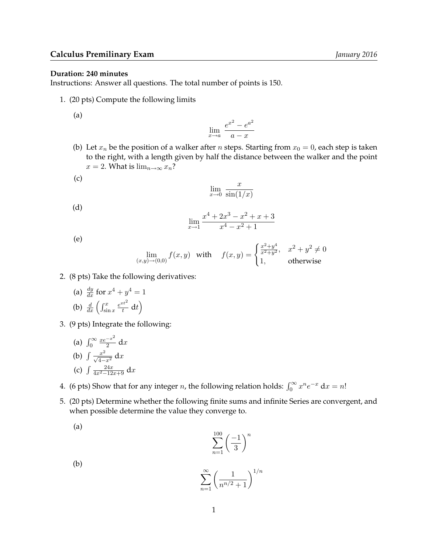## **Duration: 240 minutes**

Instructions: Answer all questions. The total number of points is 150.

1. (20 pts) Compute the following limits

(a)

$$
\lim_{x \to a} \frac{e^{x^2} - e^{a^2}}{a - x}
$$

(b) Let  $x_n$  be the position of a walker after *n* steps. Starting from  $x_0 = 0$ , each step is taken to the right, with a length given by half the distance between the walker and the point  $x = 2$ . What is  $\lim_{n \to \infty} x_n$ ?

$$
(\mathsf{c})
$$

$$
\lim_{x \to 0} \frac{x}{\sin(1/x)}
$$

(d)

$$
\lim_{x \to 1} \frac{x^4 + 2x^3 - x^2 + x + 3}{x^4 - x^2 + 1}
$$

(e)

(a)

$$
\lim_{(x,y)\to(0,0)} f(x,y) \text{ with } f(x,y) = \begin{cases} \frac{x^2+y^4}{x^2+y^2}, & x^2 + y^2 \neq 0\\ 1, & \text{otherwise} \end{cases}
$$

- 2. (8 pts) Take the following derivatives:
	- (a)  $\frac{dy}{dx}$  for  $x^4 + y^4 = 1$ (b)  $\frac{d}{dx} \left( \int_{\sin x}^x \right)$  $e^{xt^2}$  $\frac{ct^2}{t} dt$
- 3. (9 pts) Integrate the following:
	- (a)  $\int_0^\infty$  $xe^{-x^2}$  $\frac{-x}{2} dx$ (b)  $\int \frac{x^2}{\sqrt{4-x^2}} dx$ (c)  $\int \frac{24x}{4x^2-12x+9} dx$

4. (6 pts) Show that for any integer *n*, the following relation holds:  $\int_0^\infty x^n e^{-x} dx = n!$ 

5. (20 pts) Determine whether the following finite sums and infinite Series are convergent, and when possible determine the value they converge to.

$$
\sum_{n=1}^{100} \left(\frac{-1}{3}\right)^n
$$

(b)  $\sum^{\infty}$  $\left(\frac{1}{n^{n/2}+1}\right)^{1/n}$ 

 $n=1$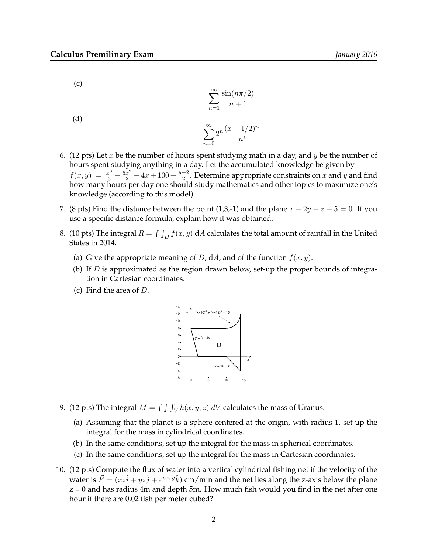(c)

$$
\sum_{n=1}^{\infty} \frac{\sin(n\pi/2)}{n+1}
$$

(d)

$$
\sum_{n=0}^{\infty} 2^n \frac{(x-1/2)^n}{n!}
$$

- 6. (12 pts) Let x be the number of hours spent studying math in a day, and y be the number of hours spent studying anything in a day. Let the accumulated knowledge be given by  $f(x,y) = \frac{x^3}{3} - \frac{5x^2}{2} + 4x + 100 + \frac{y-2}{2}$ . Determine appropriate constraints on x and y and find how many hours per day one should study mathematics and other topics to maximize one's knowledge (according to this model).
- 7. (8 pts) Find the distance between the point (1,3,-1) and the plane  $x 2y z + 5 = 0$ . If you use a specific distance formula, explain how it was obtained.
- 8. (10 pts) The integral  $R = \int \int_D f(x, y) dA$  calculates the total amount of rainfall in the United States in 2014.
	- (a) Give the appropriate meaning of D, dA, and of the function  $f(x, y)$ .
	- (b) If  $D$  is approximated as the region drawn below, set-up the proper bounds of integration in Cartesian coordinates.
	- (c) Find the area of D.



- 9. (12 pts) The integral  $M = \int \int \int_V h(x, y, z) dV$  calculates the mass of Uranus.
	- (a) Assuming that the planet is a sphere centered at the origin, with radius 1, set up the integral for the mass in cylindrical coordinates.
	- (b) In the same conditions, set up the integral for the mass in spherical coordinates.
	- (c) In the same conditions, set up the integral for the mass in Cartesian coordinates.
- 10. (12 pts) Compute the flux of water into a vertical cylindrical fishing net if the velocity of the water is  $\vec{F} = (xz\hat{i} + yz\hat{j} + e^{\cos y}\hat{k})$  cm/min and the net lies along the z-axis below the plane  $z = 0$  and has radius 4m and depth 5m. How much fish would you find in the net after one hour if there are 0.02 fish per meter cubed?